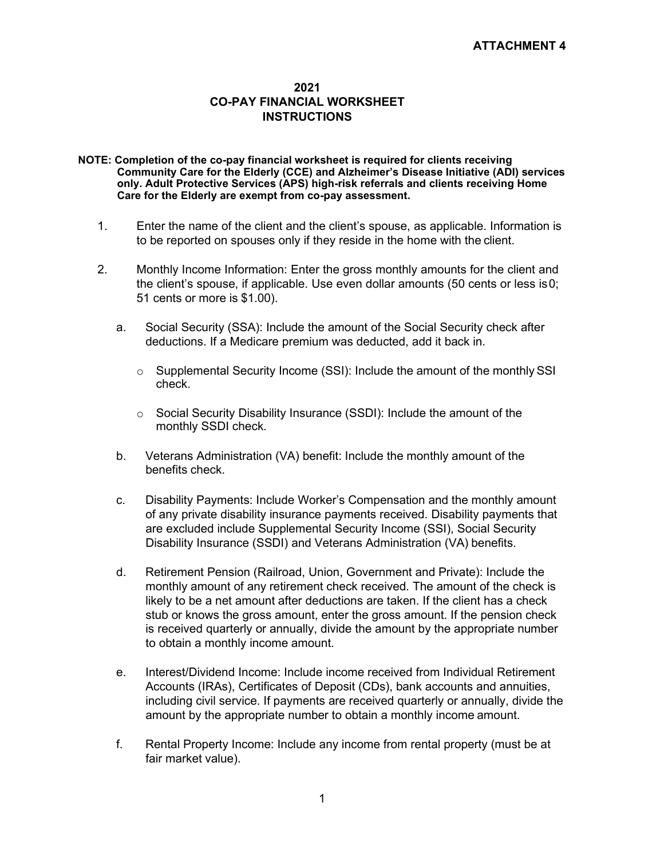## **2021 CO-PAY FINANCIAL WORKSHEET INSTRUCTIONS**

- **NOTE: Completion of the co-pay financial worksheet is required for clients receiving Community Care for the Elderly (CCE) and Alzheimer's Disease Initiative (ADI) services only. Adult Protective Services (APS) high-risk referrals and clients receiving Home Care for the Elderly are exempt from co-pay assessment.**
	- 1. Enter the name of the client and the client's spouse, as applicable. Information is to be reported on spouses only if they reside in the home with the client.
	- 2. Monthly Income Information: Enter the gross monthly amounts for the client and the client's spouse, if applicable. Use even dollar amounts (50 cents or less is0; 51 cents or more is \$1.00).
		- a. Social Security (SSA): Include the amount of the Social Security check after deductions. If a Medicare premium was deducted, add it back in.
			- $\circ$  Supplemental Security Income (SSI): Include the amount of the monthly SSI check.
			- o Social Security Disability Insurance (SSDI): Include the amount of the monthly SSDI check.
		- b. Veterans Administration (VA) benefit: Include the monthly amount of the benefits check.
		- c. Disability Payments: Include Worker's Compensation and the monthly amount of any private disability insurance payments received. Disability payments that are excluded include Supplemental Security Income (SSI), Social Security Disability Insurance (SSDI) and Veterans Administration (VA) benefits.
		- d. Retirement Pension (Railroad, Union, Government and Private): Include the monthly amount of any retirement check received. The amount of the check is likely to be a net amount after deductions are taken. If the client has a check stub or knows the gross amount, enter the gross amount. If the pension check is received quarterly or annually, divide the amount by the appropriate number to obtain a monthly income amount.
		- e. Interest/Dividend Income: Include income received from Individual Retirement Accounts (IRAs), Certificates of Deposit (CDs), bank accounts and annuities, including civil service. If payments are received quarterly or annually, divide the amount by the appropriate number to obtain a monthly income amount.
		- f. Rental Property Income: Include any income from rental property (must be at fair market value).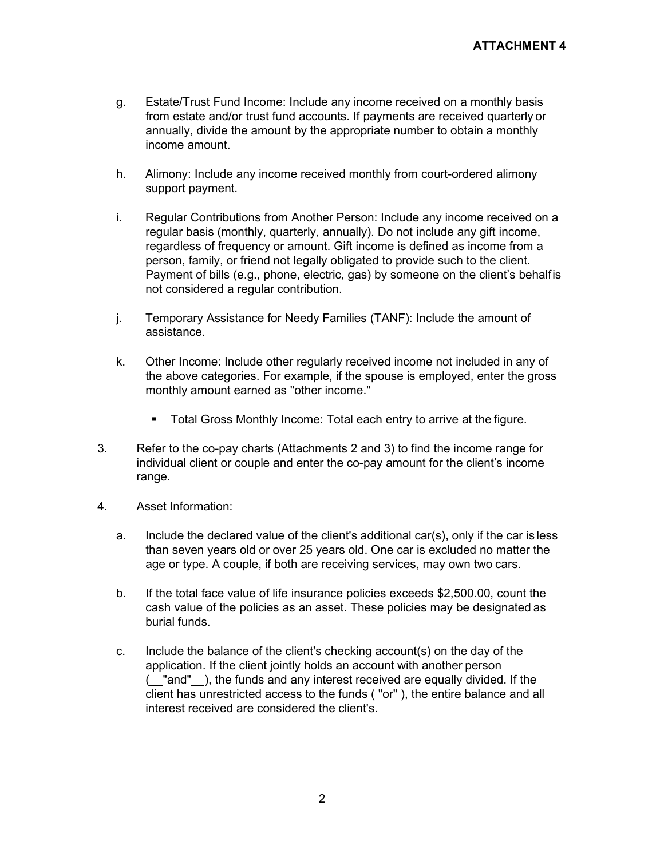- g. Estate/Trust Fund Income: Include any income received on a monthly basis from estate and/or trust fund accounts. If payments are received quarterly or annually, divide the amount by the appropriate number to obtain a monthly income amount.
- h. Alimony: Include any income received monthly from court-ordered alimony support payment.
- i. Regular Contributions from Another Person: Include any income received on a regular basis (monthly, quarterly, annually). Do not include any gift income, regardless of frequency or amount. Gift income is defined as income from a person, family, or friend not legally obligated to provide such to the client. Payment of bills (e.g., phone, electric, gas) by someone on the client's behalfis not considered a regular contribution.
- j. Temporary Assistance for Needy Families (TANF): Include the amount of assistance.
- k. Other Income: Include other regularly received income not included in any of the above categories. For example, if the spouse is employed, enter the gross monthly amount earned as "other income."
	- Total Gross Monthly Income: Total each entry to arrive at the figure.
- 3. Refer to the co-pay charts (Attachments 2 and 3) to find the income range for individual client or couple and enter the co-pay amount for the client's income range.
- 4. Asset Information:
	- a. Include the declared value of the client's additional car(s), only if the car is less than seven years old or over 25 years old. One car is excluded no matter the age or type. A couple, if both are receiving services, may own two cars.
	- b. If the total face value of life insurance policies exceeds \$2,500.00, count the cash value of the policies as an asset. These policies may be designated as burial funds.
	- c. Include the balance of the client's checking account(s) on the day of the application. If the client jointly holds an account with another person ( "and" ), the funds and any interest received are equally divided. If the client has unrestricted access to the funds ( "or" ), the entire balance and all interest received are considered the client's.